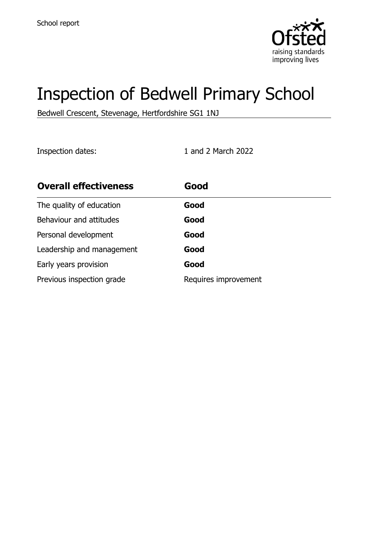

# Inspection of Bedwell Primary School

Bedwell Crescent, Stevenage, Hertfordshire SG1 1NJ

Inspection dates: 1 and 2 March 2022

| <b>Overall effectiveness</b> | Good                 |
|------------------------------|----------------------|
| The quality of education     | Good                 |
| Behaviour and attitudes      | Good                 |
| Personal development         | Good                 |
| Leadership and management    | Good                 |
| Early years provision        | Good                 |
| Previous inspection grade    | Requires improvement |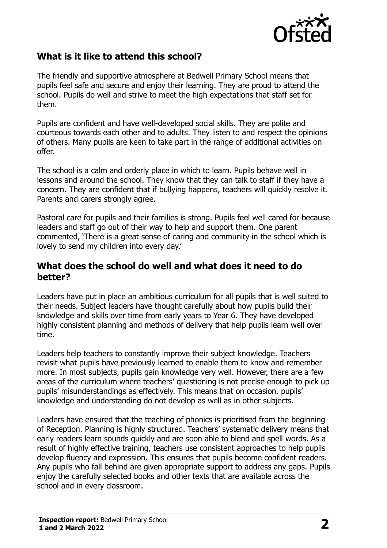

# **What is it like to attend this school?**

The friendly and supportive atmosphere at Bedwell Primary School means that pupils feel safe and secure and enjoy their learning. They are proud to attend the school. Pupils do well and strive to meet the high expectations that staff set for them.

Pupils are confident and have well-developed social skills. They are polite and courteous towards each other and to adults. They listen to and respect the opinions of others. Many pupils are keen to take part in the range of additional activities on offer.

The school is a calm and orderly place in which to learn. Pupils behave well in lessons and around the school. They know that they can talk to staff if they have a concern. They are confident that if bullying happens, teachers will quickly resolve it. Parents and carers strongly agree.

Pastoral care for pupils and their families is strong. Pupils feel well cared for because leaders and staff go out of their way to help and support them. One parent commented, 'There is a great sense of caring and community in the school which is lovely to send my children into every day.'

### **What does the school do well and what does it need to do better?**

Leaders have put in place an ambitious curriculum for all pupils that is well suited to their needs. Subject leaders have thought carefully about how pupils build their knowledge and skills over time from early years to Year 6. They have developed highly consistent planning and methods of delivery that help pupils learn well over time.

Leaders help teachers to constantly improve their subject knowledge. Teachers revisit what pupils have previously learned to enable them to know and remember more. In most subjects, pupils gain knowledge very well. However, there are a few areas of the curriculum where teachers' questioning is not precise enough to pick up pupils' misunderstandings as effectively. This means that on occasion, pupils' knowledge and understanding do not develop as well as in other subjects.

Leaders have ensured that the teaching of phonics is prioritised from the beginning of Reception. Planning is highly structured. Teachers' systematic delivery means that early readers learn sounds quickly and are soon able to blend and spell words. As a result of highly effective training, teachers use consistent approaches to help pupils develop fluency and expression. This ensures that pupils become confident readers. Any pupils who fall behind are given appropriate support to address any gaps. Pupils enjoy the carefully selected books and other texts that are available across the school and in every classroom.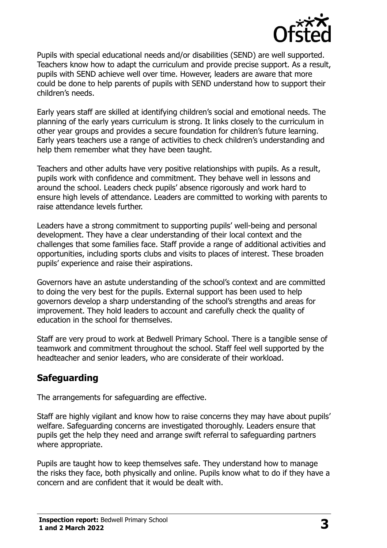

Pupils with special educational needs and/or disabilities (SEND) are well supported. Teachers know how to adapt the curriculum and provide precise support. As a result, pupils with SEND achieve well over time. However, leaders are aware that more could be done to help parents of pupils with SEND understand how to support their children's needs.

Early years staff are skilled at identifying children's social and emotional needs. The planning of the early years curriculum is strong. It links closely to the curriculum in other year groups and provides a secure foundation for children's future learning. Early years teachers use a range of activities to check children's understanding and help them remember what they have been taught.

Teachers and other adults have very positive relationships with pupils. As a result, pupils work with confidence and commitment. They behave well in lessons and around the school. Leaders check pupils' absence rigorously and work hard to ensure high levels of attendance. Leaders are committed to working with parents to raise attendance levels further.

Leaders have a strong commitment to supporting pupils' well-being and personal development. They have a clear understanding of their local context and the challenges that some families face. Staff provide a range of additional activities and opportunities, including sports clubs and visits to places of interest. These broaden pupils' experience and raise their aspirations.

Governors have an astute understanding of the school's context and are committed to doing the very best for the pupils. External support has been used to help governors develop a sharp understanding of the school's strengths and areas for improvement. They hold leaders to account and carefully check the quality of education in the school for themselves.

Staff are very proud to work at Bedwell Primary School. There is a tangible sense of teamwork and commitment throughout the school. Staff feel well supported by the headteacher and senior leaders, who are considerate of their workload.

# **Safeguarding**

The arrangements for safeguarding are effective.

Staff are highly vigilant and know how to raise concerns they may have about pupils' welfare. Safeguarding concerns are investigated thoroughly. Leaders ensure that pupils get the help they need and arrange swift referral to safeguarding partners where appropriate.

Pupils are taught how to keep themselves safe. They understand how to manage the risks they face, both physically and online. Pupils know what to do if they have a concern and are confident that it would be dealt with.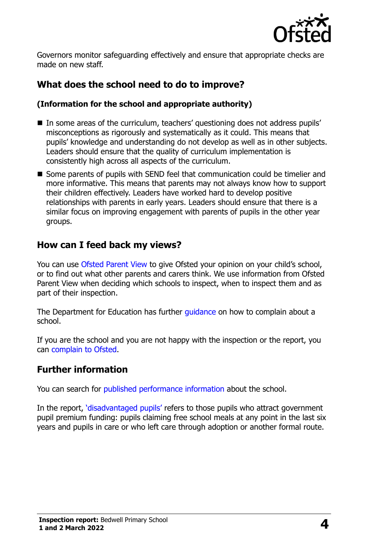

Governors monitor safeguarding effectively and ensure that appropriate checks are made on new staff.

# **What does the school need to do to improve?**

#### **(Information for the school and appropriate authority)**

- In some areas of the curriculum, teachers' questioning does not address pupils' misconceptions as rigorously and systematically as it could. This means that pupils' knowledge and understanding do not develop as well as in other subjects. Leaders should ensure that the quality of curriculum implementation is consistently high across all aspects of the curriculum.
- Some parents of pupils with SEND feel that communication could be timelier and more informative. This means that parents may not always know how to support their children effectively. Leaders have worked hard to develop positive relationships with parents in early years. Leaders should ensure that there is a similar focus on improving engagement with parents of pupils in the other year groups.

## **How can I feed back my views?**

You can use [Ofsted Parent View](http://parentview.ofsted.gov.uk/) to give Ofsted your opinion on your child's school, or to find out what other parents and carers think. We use information from Ofsted Parent View when deciding which schools to inspect, when to inspect them and as part of their inspection.

The Department for Education has further quidance on how to complain about a school.

If you are the school and you are not happy with the inspection or the report, you can [complain to Ofsted.](http://www.gov.uk/complain-ofsted-report)

## **Further information**

You can search for [published performance information](http://www.compare-school-performance.service.gov.uk/) about the school.

In the report, '[disadvantaged pupils](http://www.gov.uk/guidance/pupil-premium-information-for-schools-and-alternative-provision-settings)' refers to those pupils who attract government pupil premium funding: pupils claiming free school meals at any point in the last six years and pupils in care or who left care through adoption or another formal route.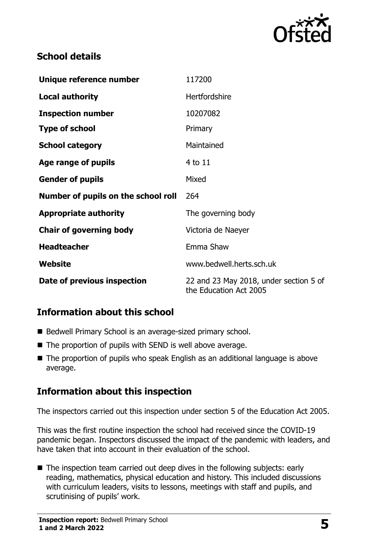

# **School details**

| Unique reference number             | 117200                                                           |
|-------------------------------------|------------------------------------------------------------------|
| <b>Local authority</b>              | Hertfordshire                                                    |
| <b>Inspection number</b>            | 10207082                                                         |
| <b>Type of school</b>               | Primary                                                          |
| <b>School category</b>              | Maintained                                                       |
| Age range of pupils                 | 4 to 11                                                          |
| <b>Gender of pupils</b>             | Mixed                                                            |
| Number of pupils on the school roll | 264                                                              |
| <b>Appropriate authority</b>        | The governing body                                               |
| <b>Chair of governing body</b>      | Victoria de Naeyer                                               |
| <b>Headteacher</b>                  | Emma Shaw                                                        |
| Website                             | www.bedwell.herts.sch.uk                                         |
| Date of previous inspection         | 22 and 23 May 2018, under section 5 of<br>the Education Act 2005 |

# **Information about this school**

- Bedwell Primary School is an average-sized primary school.
- The proportion of pupils with SEND is well above average.
- The proportion of pupils who speak English as an additional language is above average.

# **Information about this inspection**

The inspectors carried out this inspection under section 5 of the Education Act 2005.

This was the first routine inspection the school had received since the COVID-19 pandemic began. Inspectors discussed the impact of the pandemic with leaders, and have taken that into account in their evaluation of the school.

■ The inspection team carried out deep dives in the following subjects: early reading, mathematics, physical education and history. This included discussions with curriculum leaders, visits to lessons, meetings with staff and pupils, and scrutinising of pupils' work.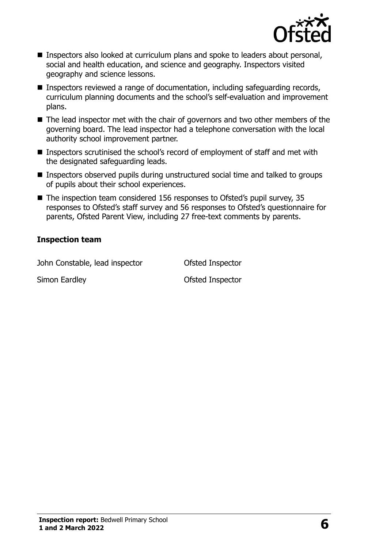

- Inspectors also looked at curriculum plans and spoke to leaders about personal, social and health education, and science and geography. Inspectors visited geography and science lessons.
- Inspectors reviewed a range of documentation, including safeguarding records, curriculum planning documents and the school's self-evaluation and improvement plans.
- The lead inspector met with the chair of governors and two other members of the governing board. The lead inspector had a telephone conversation with the local authority school improvement partner.
- Inspectors scrutinised the school's record of employment of staff and met with the designated safeguarding leads.
- Inspectors observed pupils during unstructured social time and talked to groups of pupils about their school experiences.
- The inspection team considered 156 responses to Ofsted's pupil survey, 35 responses to Ofsted's staff survey and 56 responses to Ofsted's questionnaire for parents, Ofsted Parent View, including 27 free-text comments by parents.

#### **Inspection team**

John Constable, lead inspector **Ofsted Inspector** 

Simon Eardley **Contract Contract Contract Contract Contract Contract Contract Contract Contract Contract Contract Contract Contract Contract Contract Contract Contract Contract Contract Contract Contract Contract Contract**